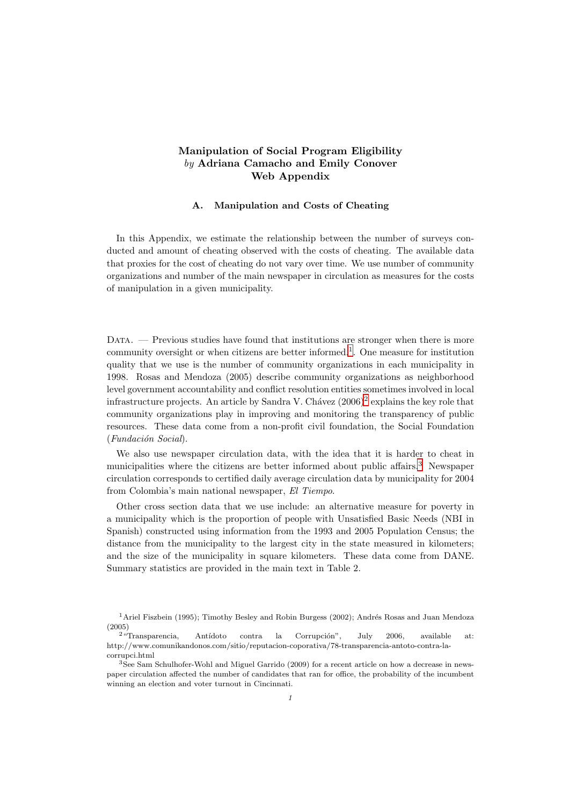## Manipulation of Social Program Eligibility *by* Adriana Camacho and Emily Conover Web Appendix

## A. Manipulation and Costs of Cheating

In this Appendix, we estimate the relationship between the number of surveys conducted and amount of cheating observed with the costs of cheating. The available data that proxies for the cost of cheating do not vary over time. We use number of community organizations and number of the main newspaper in circulation as measures for the costs of manipulation in a given municipality.

DATA. — Previous studies have found that institutions are stronger when there is more community oversight or when citizens are better informed.<sup>[1](#page-0-0)</sup>. One measure for institution quality that we use is the number of community organizations in each municipality in 1998. Rosas and Mendoza (2005) describe community organizations as neighborhood level government accountability and conflict resolution entities sometimes involved in local infrastructure projects. An article by Sandra V. Chávez  $(2006)^2$  $(2006)^2$  $(2006)^2$  explains the key role that community organizations play in improving and monitoring the transparency of public resources. These data come from a non-profit civil foundation, the Social Foundation (*Fundaci´on Social*).

We also use newspaper circulation data, with the idea that it is harder to cheat in municipalities where the citizens are better informed about public affairs.[3](#page-0-2) Newspaper circulation corresponds to certified daily average circulation data by municipality for 2004 from Colombia's main national newspaper, *El Tiempo*.

Other cross section data that we use include: an alternative measure for poverty in a municipality which is the proportion of people with Unsatisfied Basic Needs (NBI in Spanish) constructed using information from the 1993 and 2005 Population Census; the distance from the municipality to the largest city in the state measured in kilometers; and the size of the municipality in square kilometers. These data come from DANE. Summary statistics are provided in the main text in Table 2.

<span id="page-0-0"></span><sup>&</sup>lt;sup>1</sup> Ariel Fiszbein (1995); Timothy Besley and Robin Burgess (2002); Andrés Rosas and Juan Mendoza (2005)

<span id="page-0-1"></span> $2\sqrt[2]{r}$ Transparencia, Antídoto contra la Corrupción", July 2006, available at: http://www.comunikandonos.com/sitio/reputacion-coporativa/78-transparencia-antoto-contra-lacorrupci.html

<span id="page-0-2"></span><sup>3</sup>See Sam Schulhofer-Wohl and Miguel Garrido (2009) for a recent article on how a decrease in newspaper circulation affected the number of candidates that ran for office, the probability of the incumbent winning an election and voter turnout in Cincinnati.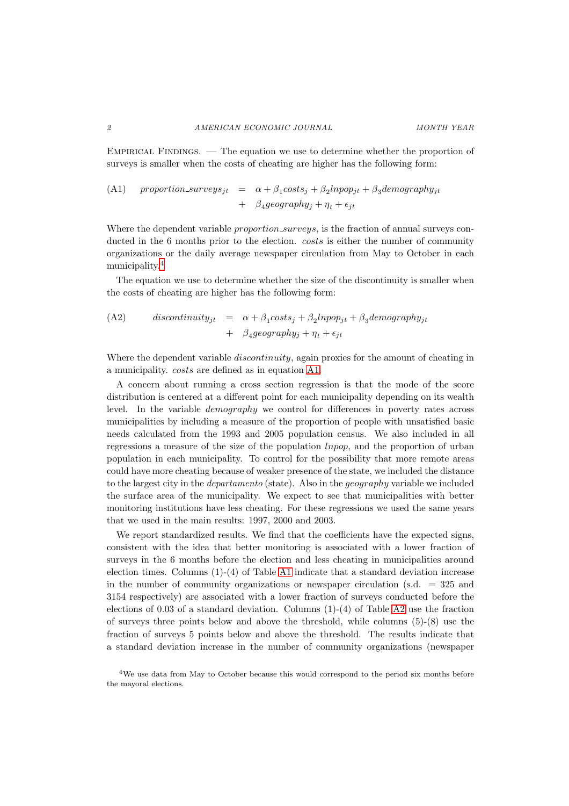EMPIRICAL FINDINGS. — The equation we use to determine whether the proportion of surveys is smaller when the costs of cheating are higher has the following form:

<span id="page-1-1"></span>(A1) proportion\_surveys<sub>jt</sub> = 
$$
\alpha + \beta_1 \text{costs}_j + \beta_2 \text{lnpop}_{jt} + \beta_3 \text{demography}_{jt}
$$
  
+  $\beta_4 \text{geography}_j + \eta_t + \epsilon_{jt}$ 

Where the dependent variable *proportion\_surveys*, is the fraction of annual surveys conducted in the 6 months prior to the election. *costs* is either the number of community organizations or the daily average newspaper circulation from May to October in each municipality.[4](#page-1-0)

The equation we use to determine whether the size of the discontinuity is smaller when the costs of cheating are higher has the following form:

(A2) *discontinuity<sub>jt</sub>* = 
$$
\alpha + \beta_1 \text{costs}_j + \beta_2 \text{lnpop}_{jt} + \beta_3 \text{demography}_{jt}
$$
  
+  $\beta_4 \text{geography}_j + \eta_t + \epsilon_{jt}$ 

Where the dependent variable *discontinuity*, again proxies for the amount of cheating in a municipality. costs are defined as in equation [A1.](#page-1-1)

A concern about running a cross section regression is that the mode of the score distribution is centered at a different point for each municipality depending on its wealth level. In the variable demography we control for differences in poverty rates across municipalities by including a measure of the proportion of people with unsatisfied basic needs calculated from the 1993 and 2005 population census. We also included in all regressions a measure of the size of the population lnpop, and the proportion of urban population in each municipality. To control for the possibility that more remote areas could have more cheating because of weaker presence of the state, we included the distance to the largest city in the *departamento* (state). Also in the geography variable we included the surface area of the municipality. We expect to see that municipalities with better monitoring institutions have less cheating. For these regressions we used the same years that we used in the main results: 1997, 2000 and 2003.

We report standardized results. We find that the coefficients have the expected signs, consistent with the idea that better monitoring is associated with a lower fraction of surveys in the 6 months before the election and less cheating in municipalities around election times. Columns (1)-(4) of Table [A1](#page-2-0) indicate that a standard deviation increase in the number of community organizations or newspaper circulation  $(s.d. = 325$  and 3154 respectively) are associated with a lower fraction of surveys conducted before the elections of 0.03 of a standard deviation. Columns (1)-(4) of Table [A2](#page-3-0) use the fraction of surveys three points below and above the threshold, while columns  $(5)-(8)$  use the fraction of surveys 5 points below and above the threshold. The results indicate that a standard deviation increase in the number of community organizations (newspaper

<span id="page-1-0"></span><sup>&</sup>lt;sup>4</sup>We use data from May to October because this would correspond to the period six months before the mayoral elections.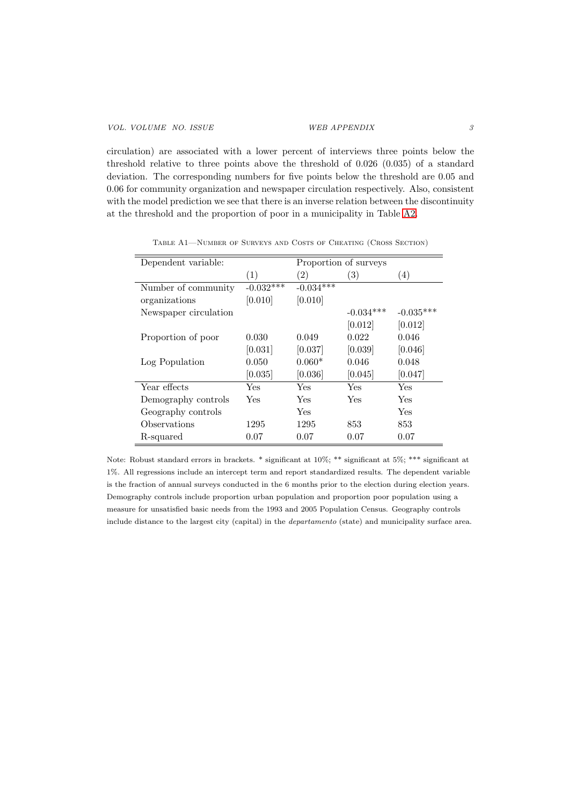circulation) are associated with a lower percent of interviews three points below the threshold relative to three points above the threshold of 0.026 (0.035) of a standard deviation. The corresponding numbers for five points below the threshold are 0.05 and 0.06 for community organization and newspaper circulation respectively. Also, consistent with the model prediction we see that there is an inverse relation between the discontinuity at the threshold and the proportion of poor in a municipality in Table [A2.](#page-3-0)

| Dependent variable:   | Proportion of surveys |                   |                   |             |
|-----------------------|-----------------------|-------------------|-------------------|-------------|
|                       | (1)                   | $\left( 2\right)$ | $\left( 3\right)$ | (4)         |
| Number of community   | $-0.032***$           | $-0.034***$       |                   |             |
| organizations         | [0.010]               | [0.010]           |                   |             |
| Newspaper circulation |                       |                   | $-0.034***$       | $-0.035***$ |
|                       |                       |                   | [0.012]           | [0.012]     |
| Proportion of poor    | 0.030                 | 0.049             | 0.022             | 0.046       |
|                       | [0.031]               | [0.037]           | [0.039]           | [0.046]     |
| Log Population        | 0.050                 | $0.060*$          | 0.046             | 0.048       |
|                       | [0.035]               | [0.036]           | [0.045]           | [0.047]     |
| Year effects          | Yes                   | Yes               | Yes               | Yes         |
| Demography controls   | Yes                   | Yes               | Yes               | Yes         |
| Geography controls    |                       | Yes               |                   | Yes         |
| Observations          | 1295                  | 1295              | 853               | 853         |
| R-squared             | 0.07                  | 0.07              | 0.07              | 0.07        |

<span id="page-2-0"></span>Table A1—Number of Surveys and Costs of Cheating (Cross Section)

Note: Robust standard errors in brackets. \* significant at 10%; \*\* significant at 5%; \*\*\* significant at 1%. All regressions include an intercept term and report standardized results. The dependent variable is the fraction of annual surveys conducted in the 6 months prior to the election during election years. Demography controls include proportion urban population and proportion poor population using a measure for unsatisfied basic needs from the 1993 and 2005 Population Census. Geography controls include distance to the largest city (capital) in the departamento (state) and municipality surface area.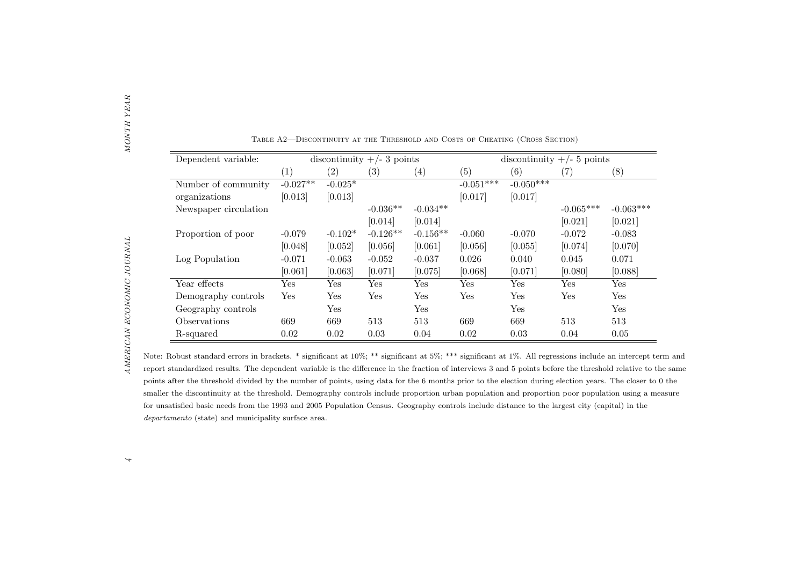<span id="page-3-0"></span>

|  | Dependent variable:                                                                                                                                                                                                                                                                                                                                                                                                                                                                                                                                                                                                                                                                                                                                                                                                                                          | discontinuity $+/- 3$ points |           | discontinuity $+/- 5$ points |            |             |             |             |             |
|--|--------------------------------------------------------------------------------------------------------------------------------------------------------------------------------------------------------------------------------------------------------------------------------------------------------------------------------------------------------------------------------------------------------------------------------------------------------------------------------------------------------------------------------------------------------------------------------------------------------------------------------------------------------------------------------------------------------------------------------------------------------------------------------------------------------------------------------------------------------------|------------------------------|-----------|------------------------------|------------|-------------|-------------|-------------|-------------|
|  |                                                                                                                                                                                                                                                                                                                                                                                                                                                                                                                                                                                                                                                                                                                                                                                                                                                              | (1)                          | (2)       | (3)                          | (4)        | (5)         | (6)         | (7)         | (8)         |
|  | Number of community                                                                                                                                                                                                                                                                                                                                                                                                                                                                                                                                                                                                                                                                                                                                                                                                                                          | $-0.027**$                   | $-0.025*$ |                              |            | $-0.051***$ | $-0.050***$ |             |             |
|  | organizations                                                                                                                                                                                                                                                                                                                                                                                                                                                                                                                                                                                                                                                                                                                                                                                                                                                | [0.013]                      | [0.013]   |                              |            | [0.017]     | [0.017]     |             |             |
|  | Newspaper circulation                                                                                                                                                                                                                                                                                                                                                                                                                                                                                                                                                                                                                                                                                                                                                                                                                                        |                              |           | $-0.036**$                   | $-0.034**$ |             |             | $-0.065***$ | $-0.063***$ |
|  |                                                                                                                                                                                                                                                                                                                                                                                                                                                                                                                                                                                                                                                                                                                                                                                                                                                              |                              |           | [0.014]                      | [0.014]    |             |             | [0.021]     | [0.021]     |
|  | Proportion of poor                                                                                                                                                                                                                                                                                                                                                                                                                                                                                                                                                                                                                                                                                                                                                                                                                                           | $-0.079$                     | $-0.102*$ | $-0.126**$                   | $-0.156**$ | $-0.060$    | $-0.070$    | $-0.072$    | $-0.083$    |
|  |                                                                                                                                                                                                                                                                                                                                                                                                                                                                                                                                                                                                                                                                                                                                                                                                                                                              | [0.048]                      | [0.052]   | [0.056]                      | [0.061]    | [0.056]     | [0.055]     | [0.074]     | [0.070]     |
|  | Log Population                                                                                                                                                                                                                                                                                                                                                                                                                                                                                                                                                                                                                                                                                                                                                                                                                                               | $-0.071$                     | $-0.063$  | $-0.052$                     | $-0.037$   | 0.026       | 0.040       | 0.045       | 0.071       |
|  |                                                                                                                                                                                                                                                                                                                                                                                                                                                                                                                                                                                                                                                                                                                                                                                                                                                              | [0.061]                      | [0.063]   | [0.071]                      | [0.075]    | [0.068]     | [0.071]     | [0.080]     | [0.088]     |
|  | Year effects                                                                                                                                                                                                                                                                                                                                                                                                                                                                                                                                                                                                                                                                                                                                                                                                                                                 | Yes                          | Yes       | Yes                          | Yes        | Yes         | Yes         | Yes         | Yes         |
|  | Demography controls                                                                                                                                                                                                                                                                                                                                                                                                                                                                                                                                                                                                                                                                                                                                                                                                                                          | Yes                          | Yes       | Yes                          | Yes        | Yes         | Yes         | Yes         | Yes         |
|  | Geography controls                                                                                                                                                                                                                                                                                                                                                                                                                                                                                                                                                                                                                                                                                                                                                                                                                                           |                              | Yes       |                              | Yes        |             | Yes         |             | Yes         |
|  | Observations                                                                                                                                                                                                                                                                                                                                                                                                                                                                                                                                                                                                                                                                                                                                                                                                                                                 | 669                          | 669       | 513                          | 513        | 669         | 669         | 513         | 513         |
|  | R-squared                                                                                                                                                                                                                                                                                                                                                                                                                                                                                                                                                                                                                                                                                                                                                                                                                                                    | 0.02                         | 0.02      | 0.03                         | 0.04       | 0.02        | 0.03        | 0.04        | 0.05        |
|  | Note: Robust standard errors in brackets. * significant at 10%; ** significant at 5%; *** significant at 1%. All regressions include an intercept term and<br>report standardized results. The dependent variable is the difference in the fraction of interviews 3 and 5 points before the threshold relative to the same<br>points after the threshold divided by the number of points, using data for the 6 months prior to the election during election years. The closer to 0 the<br>smaller the discontinuity at the threshold. Demography controls include proportion urban population and proportion poor population using a measure<br>for unsatisfied basic needs from the 1993 and 2005 Population Census. Geography controls include distance to the largest city (capital) in the<br><i>departamento</i> (state) and municipality surface area. |                              |           |                              |            |             |             |             |             |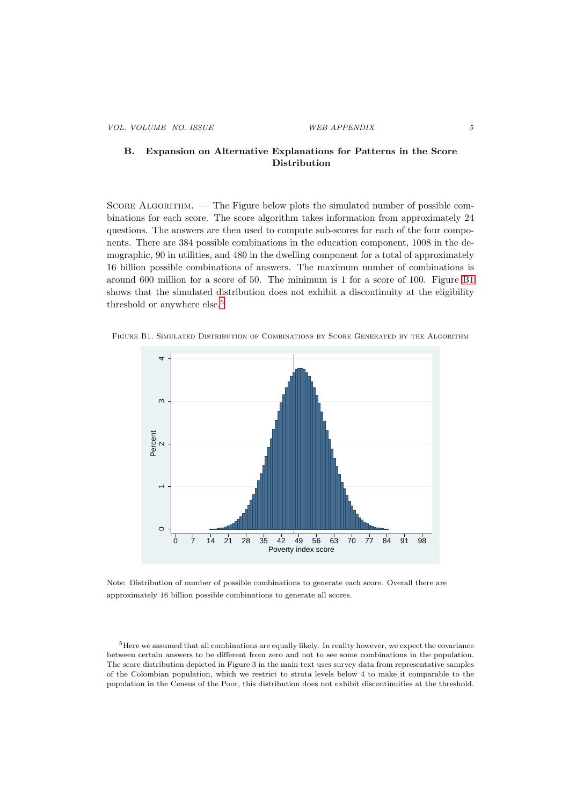### B. Expansion on Alternative Explanations for Patterns in the Score Distribution

Score Algorithm. — The Figure below plots the simulated number of possible combinations for each score. The score algorithm takes information from approximately 24 questions. The answers are then used to compute sub-scores for each of the four components. There are 384 possible combinations in the education component, 1008 in the demographic, 90 in utilities, and 480 in the dwelling component for a total of approximately 16 billion possible combinations of answers. The maximum number of combinations is around 600 million for a score of 50. The minimum is 1 for a score of 100. Figure [B1](#page-4-0) shows that the simulated distribution does not exhibit a discontinuity at the eligibility threshold or anywhere else.<sup>[5](#page-4-1)</sup>



<span id="page-4-0"></span>

Note: Distribution of number of possible combinations to generate each score. Overall there are approximately 16 billion possible combinations to generate all scores.

<span id="page-4-1"></span> $5$  Here we assumed that all combinations are equally likely. In reality however, we expect the covariance between certain answers to be different from zero and not to see some combinations in the population. The score distribution depicted in Figure 3 in the main text uses survey data from representative samples of the Colombian population, which we restrict to strata levels below 4 to make it comparable to the population in the Census of the Poor, this distribution does not exhibit discontinuities at the threshold.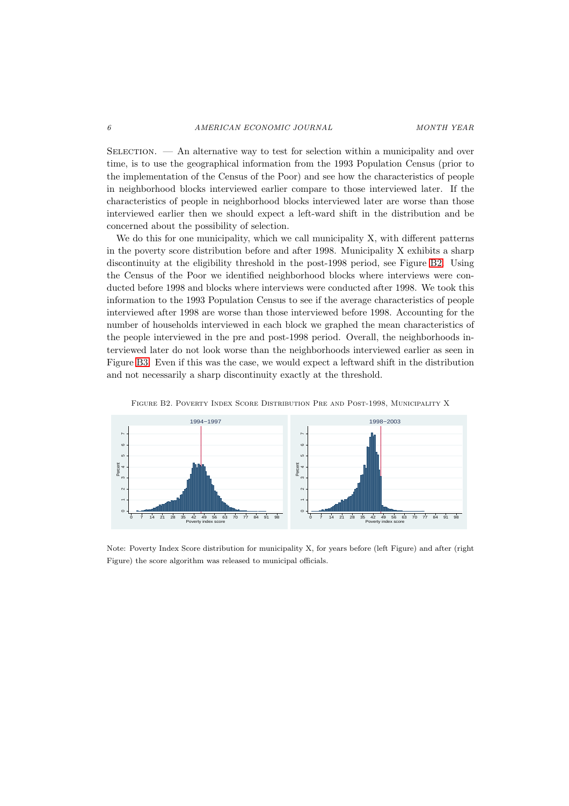SELECTION. — An alternative way to test for selection within a municipality and over time, is to use the geographical information from the 1993 Population Census (prior to the implementation of the Census of the Poor) and see how the characteristics of people in neighborhood blocks interviewed earlier compare to those interviewed later. If the characteristics of people in neighborhood blocks interviewed later are worse than those interviewed earlier then we should expect a left-ward shift in the distribution and be concerned about the possibility of selection.

We do this for one municipality, which we call municipality X, with different patterns in the poverty score distribution before and after 1998. Municipality X exhibits a sharp discontinuity at the eligibility threshold in the post-1998 period, see Figure [B2.](#page-5-0) Using the Census of the Poor we identified neighborhood blocks where interviews were conducted before 1998 and blocks where interviews were conducted after 1998. We took this information to the 1993 Population Census to see if the average characteristics of people interviewed after 1998 are worse than those interviewed before 1998. Accounting for the number of households interviewed in each block we graphed the mean characteristics of the people interviewed in the pre and post-1998 period. Overall, the neighborhoods interviewed later do not look worse than the neighborhoods interviewed earlier as seen in Figure [B3.](#page-6-0) Even if this was the case, we would expect a leftward shift in the distribution and not necessarily a sharp discontinuity exactly at the threshold.



<span id="page-5-0"></span>Figure B2. Poverty Index Score Distribution Pre and Post-1998, Municipality X

Note: Poverty Index Score distribution for municipality X, for years before (left Figure) and after (right Figure) the score algorithm was released to municipal officials.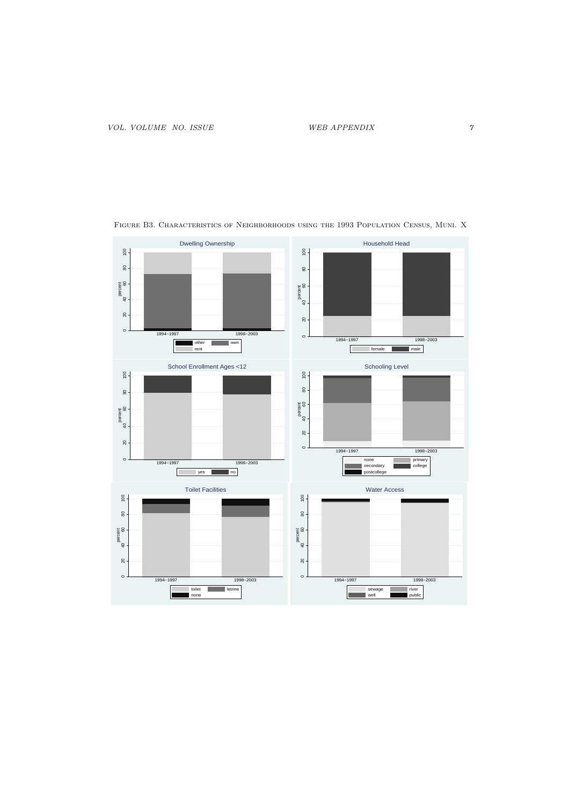

<span id="page-6-0"></span>Figure B3. Characteristics of Neighborhoods using the 1993 Population Census, Muni. X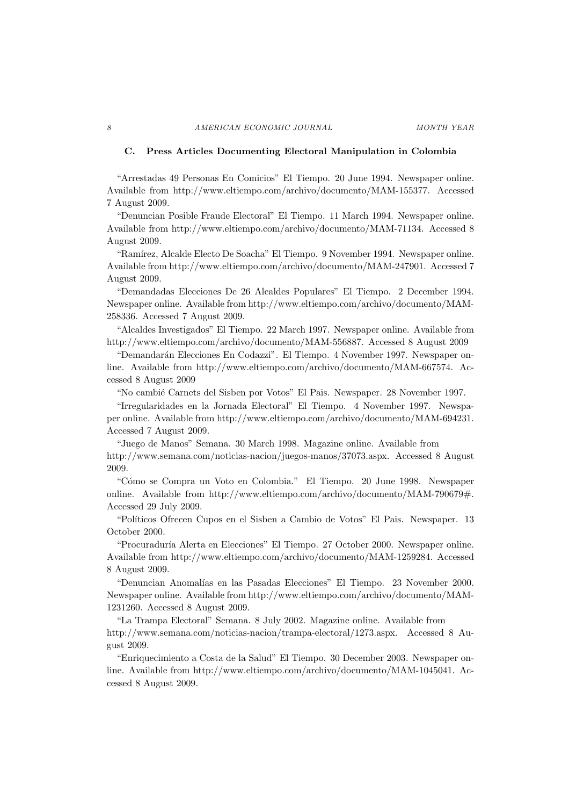### C. Press Articles Documenting Electoral Manipulation in Colombia

"Arrestadas 49 Personas En Comicios" El Tiempo. 20 June 1994. Newspaper online. Available from http://www.eltiempo.com/archivo/documento/MAM-155377. Accessed 7 August 2009.

"Denuncian Posible Fraude Electoral" El Tiempo. 11 March 1994. Newspaper online. Available from http://www.eltiempo.com/archivo/documento/MAM-71134. Accessed 8 August 2009.

"Ramírez, Alcalde Electo De Soacha" El Tiempo. 9 November 1994. Newspaper online. Available from http://www.eltiempo.com/archivo/documento/MAM-247901. Accessed 7 August 2009.

"Demandadas Elecciones De 26 Alcaldes Populares" El Tiempo. 2 December 1994. Newspaper online. Available from http://www.eltiempo.com/archivo/documento/MAM-258336. Accessed 7 August 2009.

"Alcaldes Investigados" El Tiempo. 22 March 1997. Newspaper online. Available from http://www.eltiempo.com/archivo/documento/MAM-556887. Accessed 8 August 2009

"Demandarán Elecciones En Codazzi". El Tiempo. 4 November 1997. Newspaper online. Available from http://www.eltiempo.com/archivo/documento/MAM-667574. Accessed 8 August 2009

"No cambié Carnets del Sisben por Votos" El Pais. Newspaper. 28 November 1997.

"Irregularidades en la Jornada Electoral" El Tiempo. 4 November 1997. Newspaper online. Available from http://www.eltiempo.com/archivo/documento/MAM-694231. Accessed 7 August 2009.

"Juego de Manos" Semana. 30 March 1998. Magazine online. Available from http://www.semana.com/noticias-nacion/juegos-manos/37073.aspx. Accessed 8 August 2009.

"C´omo se Compra un Voto en Colombia." El Tiempo. 20 June 1998. Newspaper online. Available from http://www.eltiempo.com/archivo/documento/MAM-790679#. Accessed 29 July 2009.

"Políticos Ofrecen Cupos en el Sisben a Cambio de Votos" El Pais. Newspaper. 13 October 2000.

"Procuradur´ıa Alerta en Elecciones" El Tiempo. 27 October 2000. Newspaper online. Available from http://www.eltiempo.com/archivo/documento/MAM-1259284. Accessed 8 August 2009.

"Denuncian Anomal´ıas en las Pasadas Elecciones" El Tiempo. 23 November 2000. Newspaper online. Available from http://www.eltiempo.com/archivo/documento/MAM-1231260. Accessed 8 August 2009.

"La Trampa Electoral" Semana. 8 July 2002. Magazine online. Available from http://www.semana.com/noticias-nacion/trampa-electoral/1273.aspx. Accessed 8 August 2009.

"Enriquecimiento a Costa de la Salud" El Tiempo. 30 December 2003. Newspaper online. Available from http://www.eltiempo.com/archivo/documento/MAM-1045041. Accessed 8 August 2009.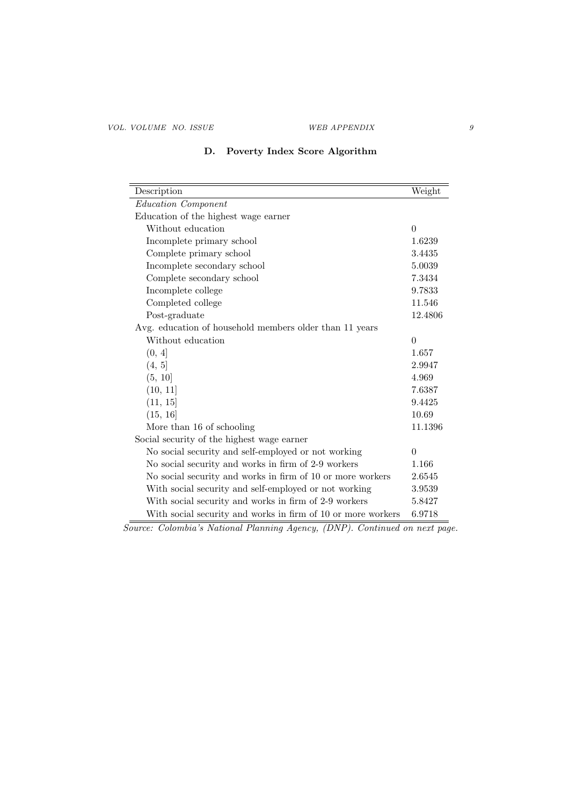# D. Poverty Index Score Algorithm

| Description                                                  | Weight   |
|--------------------------------------------------------------|----------|
| Education Component                                          |          |
| Education of the highest wage earner                         |          |
| Without education                                            | $\theta$ |
| Incomplete primary school                                    | 1.6239   |
| Complete primary school                                      | 3.4435   |
| Incomplete secondary school                                  | 5.0039   |
| Complete secondary school                                    | 7.3434   |
| Incomplete college                                           | 9.7833   |
| Completed college                                            | 11.546   |
| Post-graduate                                                | 12.4806  |
| Avg. education of household members older than 11 years      |          |
| Without education                                            | $\Omega$ |
| (0, 4]                                                       | 1.657    |
| (4, 5]                                                       | 2.9947   |
| (5, 10]                                                      | 4.969    |
| (10, 11]                                                     | 7.6387   |
| (11, 15]                                                     | 9.4425   |
| (15, 16)                                                     | 10.69    |
| More than 16 of schooling                                    | 11.1396  |
| Social security of the highest wage earner                   |          |
| No social security and self-employed or not working          | $\theta$ |
| No social security and works in firm of 2-9 workers          | 1.166    |
| No social security and works in firm of 10 or more workers   | 2.6545   |
| With social security and self-employed or not working        | 3.9539   |
| With social security and works in firm of 2-9 workers        | 5.8427   |
| With social security and works in firm of 10 or more workers | 6.9718   |

*Source: Colombia's National Planning Agency, (DNP). Continued on next page.*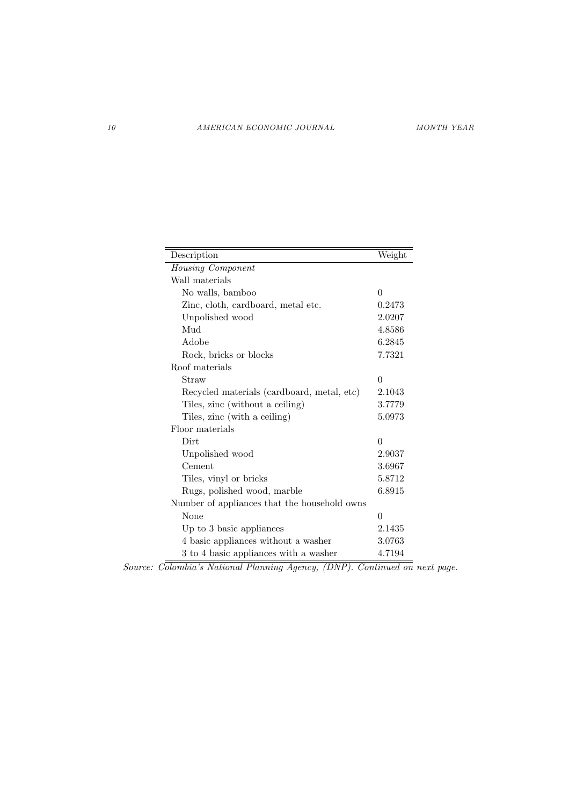| Description                                  | Weight   |
|----------------------------------------------|----------|
| Housing Component                            |          |
| Wall materials                               |          |
| No walls, bamboo                             | $\Omega$ |
| Zinc, cloth, cardboard, metal etc.           | 0.2473   |
| Unpolished wood                              | 2.0207   |
| Mud                                          | 4.8586   |
| Adobe                                        | 6.2845   |
| Rock, bricks or blocks                       | 7.7321   |
| Roof materials                               |          |
| Straw                                        | $\Omega$ |
| Recycled materials (cardboard, metal, etc)   | 2.1043   |
| Tiles, zinc (without a ceiling)              | 3.7779   |
| Tiles, zinc (with a ceiling)                 | 5.0973   |
| Floor materials                              |          |
| Dirt                                         | $\theta$ |
| Unpolished wood                              | 2.9037   |
| Cement                                       | 3.6967   |
| Tiles, vinyl or bricks                       | 5.8712   |
| Rugs, polished wood, marble                  | 6.8915   |
| Number of appliances that the household owns |          |
| None                                         | $\theta$ |
| Up to 3 basic appliances                     | 2.1435   |
| 4 basic appliances without a washer          | 3.0763   |
| 3 to 4 basic appliances with a washer        | 4.7194   |

*Source: Colombia's National Planning Agency, (DNP). Continued on next page.*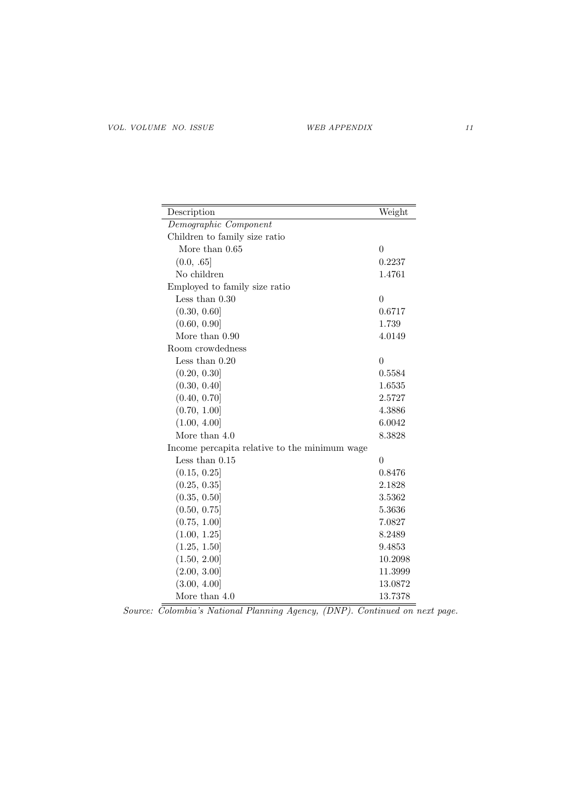| Description                                   | Weight   |
|-----------------------------------------------|----------|
| Demographic Component                         |          |
| Children to family size ratio                 |          |
| More than 0.65                                | $\theta$ |
| (0.0, .65]                                    | 0.2237   |
| No children                                   | 1.4761   |
| Employed to family size ratio                 |          |
| Less than $0.30$                              | $\theta$ |
| (0.30, 0.60]                                  | 0.6717   |
| (0.60, 0.90]                                  | 1.739    |
| More than 0.90                                | 4.0149   |
| Room crowdedness                              |          |
| Less than $0.20$                              | $\theta$ |
| (0.20, 0.30]                                  | 0.5584   |
| (0.30, 0.40]                                  | 1.6535   |
| (0.40, 0.70]                                  | 2.5727   |
| (0.70, 1.00]                                  | 4.3886   |
| (1.00, 4.00]                                  | 6.0042   |
| More than $4.0$                               | 8.3828   |
| Income percapita relative to the minimum wage |          |
| Less than $0.15$                              | $\theta$ |
| (0.15, 0.25]                                  | 0.8476   |
| (0.25, 0.35]                                  | 2.1828   |
| (0.35, 0.50]                                  | 3.5362   |
| (0.50, 0.75]                                  | 5.3636   |
| (0.75, 1.00]                                  | 7.0827   |
| (1.00, 1.25]                                  | 8.2489   |
| (1.25, 1.50]                                  | 9.4853   |
| (1.50, 2.00]                                  | 10.2098  |
| (2.00, 3.00]                                  | 11.3999  |
| (3.00, 4.00]                                  | 13.0872  |
| More than $4.0$                               | 13.7378  |

*Source: Colombia's National Planning Agency, (DNP). Continued on next page.*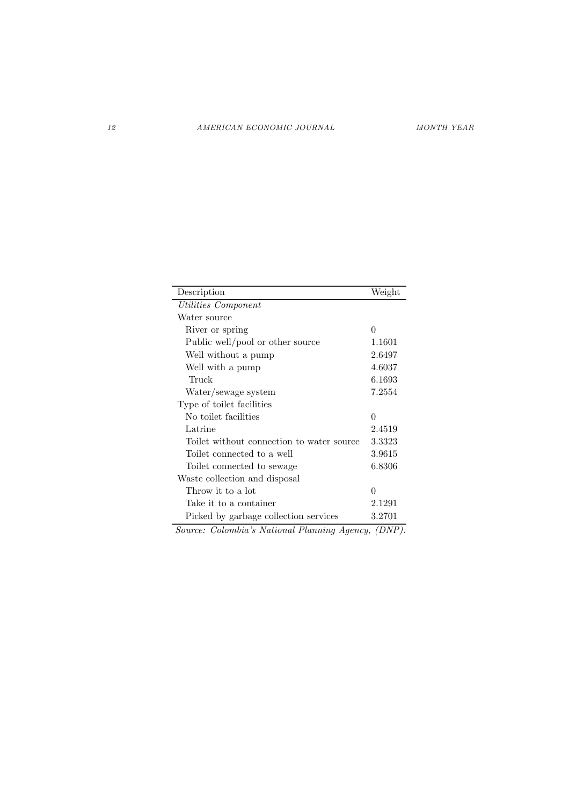| Description                               | Weight   |
|-------------------------------------------|----------|
| Utilities Component                       |          |
| Water source                              |          |
| River or spring                           | 0        |
| Public well/pool or other source          | 1.1601   |
| Well without a pump                       | 2.6497   |
| Well with a pump                          | 4.6037   |
| Truck                                     | 6.1693   |
| Water/sewage system                       | 7.2554   |
| Type of toilet facilities                 |          |
| No toilet facilities                      | $\theta$ |
| Latrine                                   | 2.4519   |
| Toilet without connection to water source | 3.3323   |
| Toilet connected to a well                | 3.9615   |
| Toilet connected to sewage                | 6.8306   |
| Waste collection and disposal             |          |
| Throw it to a lot                         | 0        |
| Take it to a container                    | 2.1291   |
| Picked by garbage collection services     | 3.2701   |

*Source: Colombia's National Planning Agency, (DNP).*